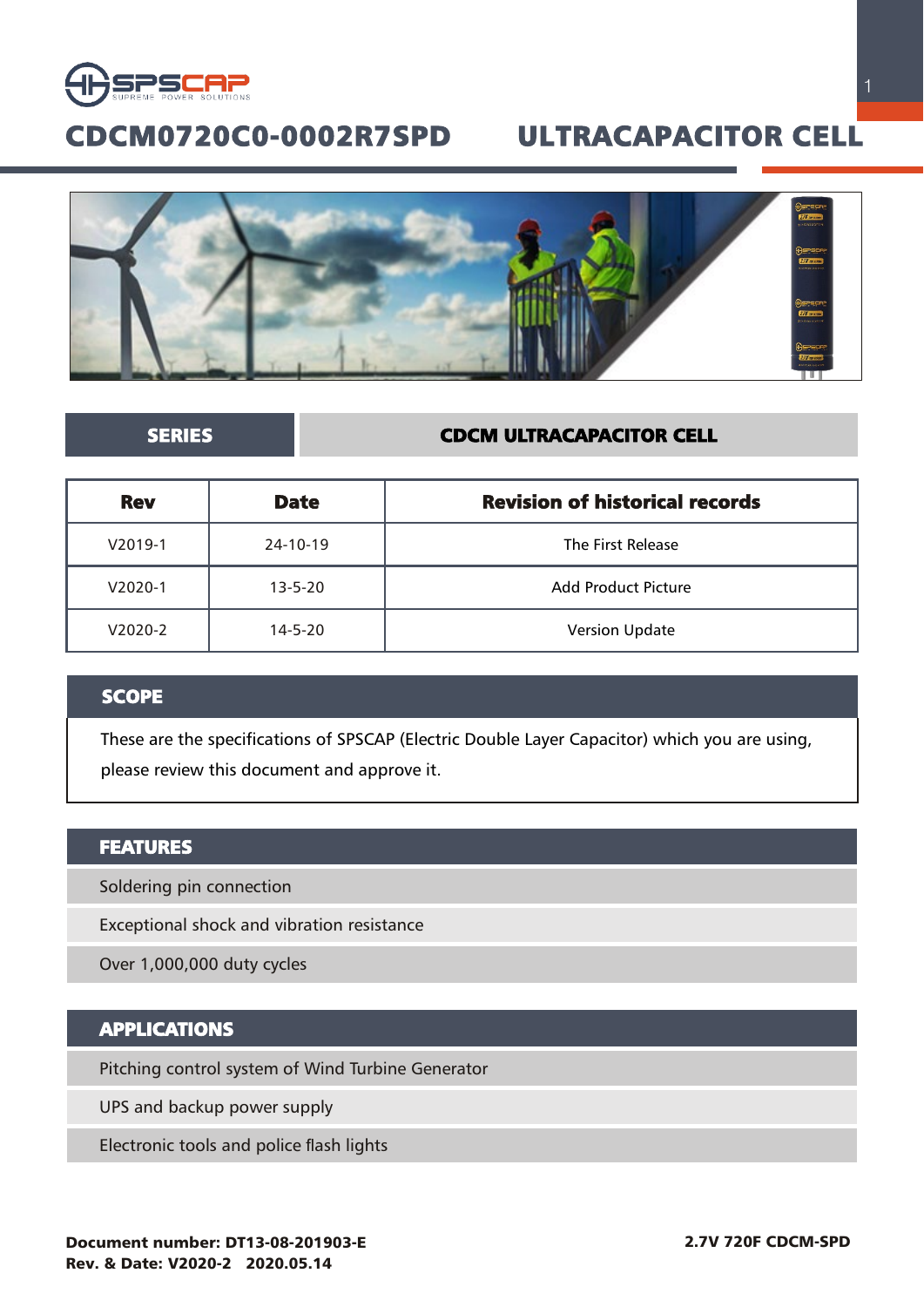

# CDCM0720C0-0002R7SPD ULTRACAPACITOR CELL



# SERIES CDCM ULTRACAPACITOR CELL

| <b>Rev</b> | <b>Date</b>   | <b>Revision of historical records</b> |  |  |  |
|------------|---------------|---------------------------------------|--|--|--|
| $V2019-1$  | 24-10-19      | The First Release                     |  |  |  |
| V2020-1    | $13 - 5 - 20$ | Add Product Picture                   |  |  |  |
| V2020-2    | $14 - 5 - 20$ | <b>Version Update</b>                 |  |  |  |

# **SCOPE**

These are the specifications of SPSCAP (Electric Double Layer Capacitor) which you are using, please review this document and approve it.

# FEATURES

Soldering pin connection

Exceptional shock and vibration resistance

Over 1,000,000 duty cycles

# APPLICATIONS

Pitching control system of Wind Turbine Generator

UPS and backup power supply

Electronic tools and police flash lights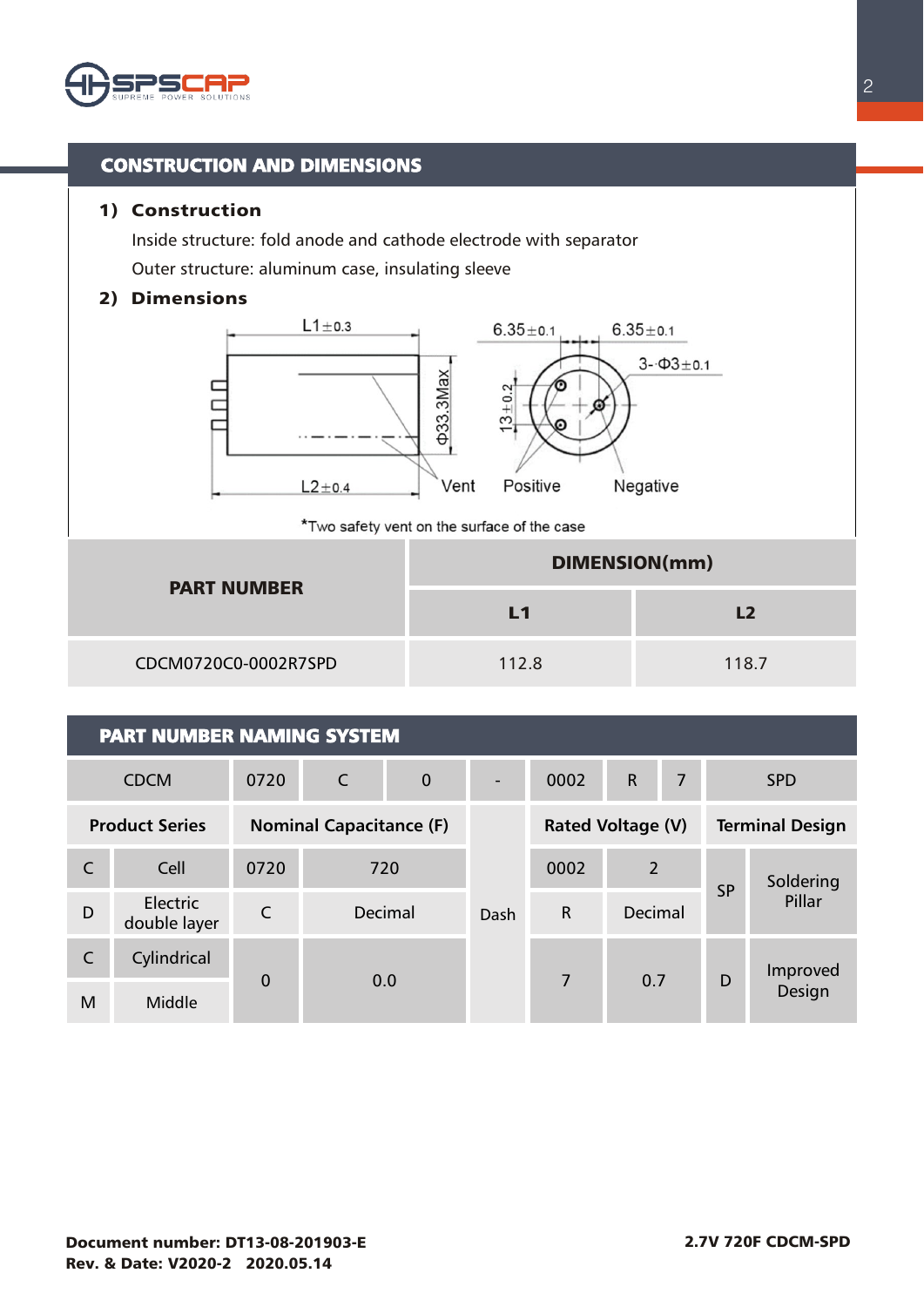

# CONSTRUCTION AND DIMENSIONS

### 1) Construction

Inside structure: fold anode and cathode electrode with separator Outer structure: aluminum case, insulating sleeve

# 2) Dimensions



\*Two safety vent on the surface of the case

| <b>PART NUMBER</b>   | DIMENSION(mm) |       |  |  |
|----------------------|---------------|-------|--|--|
|                      | L1            | L2    |  |  |
| CDCM0720C0-0002R7SPD | 112.8         | 118.7 |  |  |

| <b>PART NUMBER NAMING SYSTEM</b> |                                                                                     |              |         |      |                        |                |            |   |                     |
|----------------------------------|-------------------------------------------------------------------------------------|--------------|---------|------|------------------------|----------------|------------|---|---------------------|
|                                  | C<br>0720<br>$\mathbf 0$<br><b>CDCM</b>                                             |              |         | 0002 | $\mathsf{R}$           | 7              | <b>SPD</b> |   |                     |
|                                  | <b>Product Series</b><br><b>Nominal Capacitance (F)</b><br><b>Rated Voltage (V)</b> |              |         |      | <b>Terminal Design</b> |                |            |   |                     |
| $\mathsf{C}$                     | Cell                                                                                | 0720<br>720  |         |      | 0002                   | $\overline{2}$ |            |   | Soldering<br>Pillar |
| D                                | Electric<br>double layer                                                            | $\mathsf{C}$ | Decimal |      | Dash                   | $\mathsf{R}$   | Decimal    |   |                     |
| $\mathsf{C}$                     | Cylindrical                                                                         | $\Omega$     | 0.0     |      |                        | 7              | 0.7        | D | Improved<br>Design  |
| M                                | Middle                                                                              |              |         |      |                        |                |            |   |                     |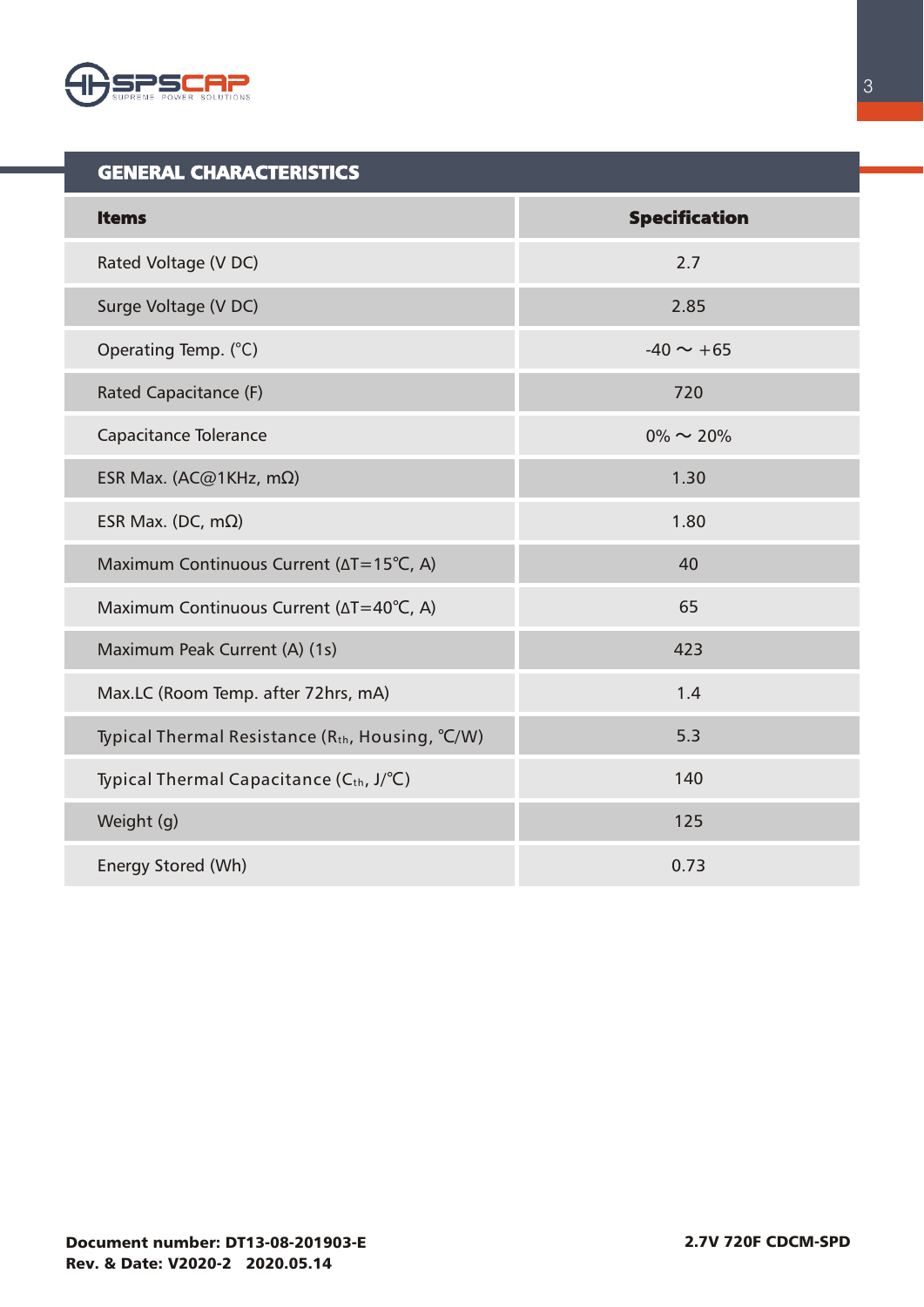

| <b>Items</b>                                              | <b>Specification</b> |
|-----------------------------------------------------------|----------------------|
| Rated Voltage (V DC)                                      | 2.7                  |
| Surge Voltage (V DC)                                      | 2.85                 |
| Operating Temp. (°C)                                      | $-40 \sim +65$       |
| Rated Capacitance (F)                                     | 720                  |
| Capacitance Tolerance                                     | $0\% \sim 20\%$      |
| ESR Max. (AC@1KHz, m $\Omega$ )                           | 1.30                 |
| ESR Max. (DC, $m\Omega$ )                                 | 1.80                 |
| Maximum Continuous Current (∆T=15°C, A)                   | 40                   |
| Maximum Continuous Current (∆T=40°C, A)                   | 65                   |
| Maximum Peak Current (A) (1s)                             | 423                  |
| Max.LC (Room Temp. after 72hrs, mA)                       | 1.4                  |
| Typical Thermal Resistance ( $R_{th}$ , Housing, $°C/W$ ) | 5.3                  |
| Typical Thermal Capacitance (Cth, J/°C)                   | 140                  |
| Weight (g)                                                | 125                  |
| Energy Stored (Wh)                                        | 0.73                 |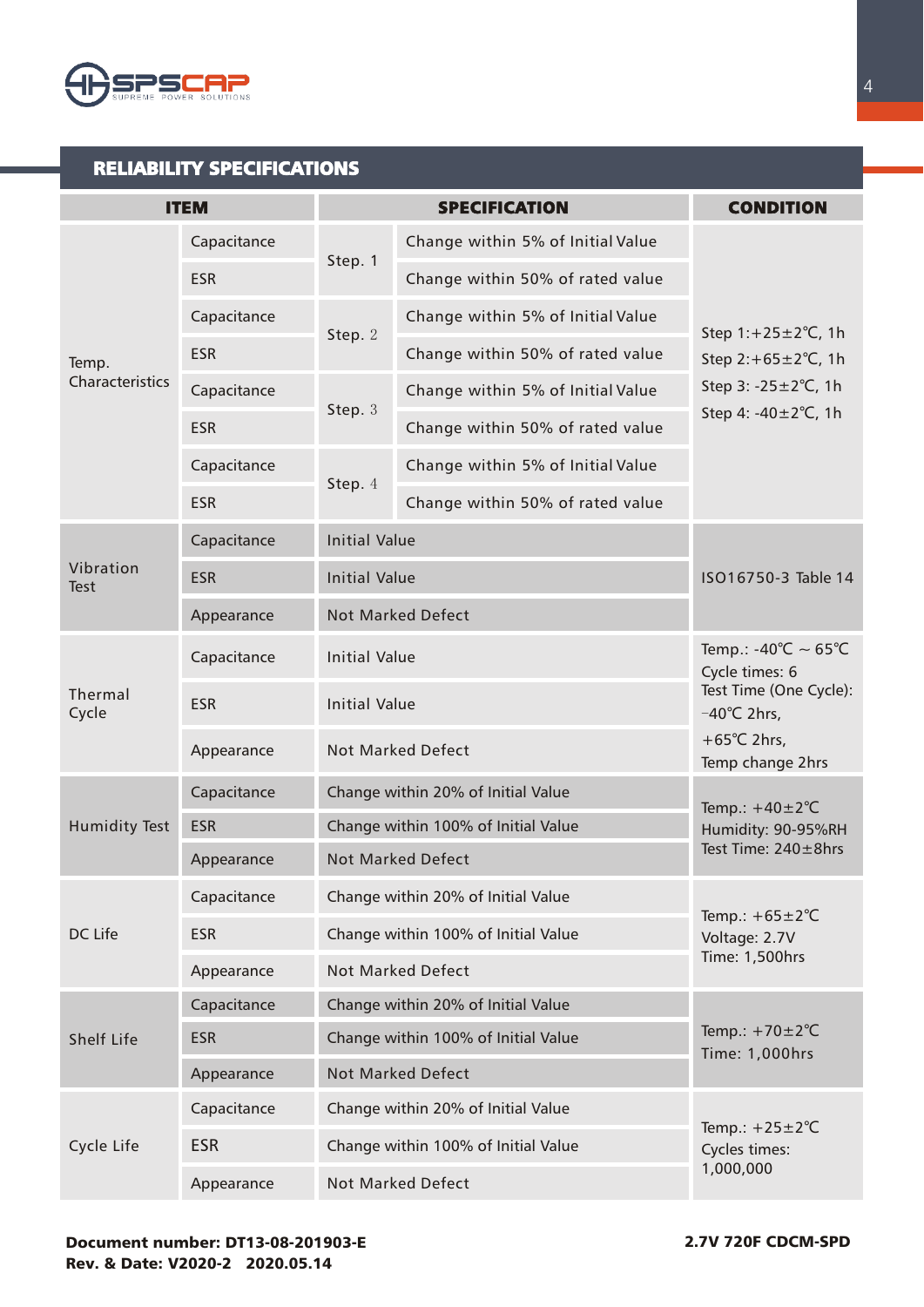

# RELIABILITY SPECIFICATIONS

| <b>ITEM</b>                     |             |                      | <b>SPECIFICATION</b>                | <b>CONDITION</b>                                                                      |  |  |
|---------------------------------|-------------|----------------------|-------------------------------------|---------------------------------------------------------------------------------------|--|--|
| Temp.<br><b>Characteristics</b> | Capacitance | Step. 1              | Change within 5% of Initial Value   |                                                                                       |  |  |
|                                 | <b>ESR</b>  |                      | Change within 50% of rated value    |                                                                                       |  |  |
|                                 | Capacitance |                      | Change within 5% of Initial Value   |                                                                                       |  |  |
|                                 | <b>ESR</b>  | Step. 2              | Change within 50% of rated value    | Step $1: +25 \pm 2^{\circ}C$ , 1h<br>Step $2: +65 \pm 2^{\circ}C$ , 1h                |  |  |
|                                 | Capacitance |                      | Change within 5% of Initial Value   | Step 3: $-25 \pm 2^{\circ}C$ , 1h                                                     |  |  |
|                                 | <b>ESR</b>  | Step. 3              | Change within 50% of rated value    | Step 4: -40±2°C, 1h                                                                   |  |  |
|                                 | Capacitance | Step. 4              | Change within 5% of Initial Value   |                                                                                       |  |  |
|                                 | <b>ESR</b>  |                      | Change within 50% of rated value    |                                                                                       |  |  |
|                                 | Capacitance | <b>Initial Value</b> |                                     | ISO16750-3 Table 14                                                                   |  |  |
| Vibration<br>Test               | <b>ESR</b>  | <b>Initial Value</b> |                                     |                                                                                       |  |  |
|                                 | Appearance  |                      | <b>Not Marked Defect</b>            |                                                                                       |  |  |
| Thermal<br>Cycle                | Capacitance | <b>Initial Value</b> |                                     | Temp.: -40°C $\sim$ 65°C<br>Cycle times: 6                                            |  |  |
|                                 | <b>ESR</b>  | <b>Initial Value</b> |                                     | Test Time (One Cycle):<br>$-40^{\circ}$ C 2hrs,<br>+65 $°C$ 2hrs,<br>Temp change 2hrs |  |  |
|                                 | Appearance  |                      | <b>Not Marked Defect</b>            |                                                                                       |  |  |
|                                 | Capacitance |                      | Change within 20% of Initial Value  | Temp.: $+40\pm2^{\circ}C$                                                             |  |  |
| <b>Humidity Test</b>            | <b>ESR</b>  |                      | Change within 100% of Initial Value | Humidity: 90-95%RH                                                                    |  |  |
|                                 | Appearance  |                      | <b>Not Marked Defect</b>            | Test Time: 240±8hrs                                                                   |  |  |
|                                 | Capacitance |                      | Change within 20% of Initial Value  |                                                                                       |  |  |
| DC Life                         | <b>ESR</b>  |                      | Change within 100% of Initial Value | Temp.: $+65\pm2^{\circ}C$<br>Voltage: 2.7V                                            |  |  |
|                                 | Appearance  |                      | <b>Not Marked Defect</b>            | Time: 1,500hrs                                                                        |  |  |
| Shelf Life                      | Capacitance |                      | Change within 20% of Initial Value  | Temp.: $+70\pm2^{\circ}C$<br>Time: 1,000hrs                                           |  |  |
|                                 | <b>ESR</b>  |                      | Change within 100% of Initial Value |                                                                                       |  |  |
|                                 | Appearance  |                      | <b>Not Marked Defect</b>            |                                                                                       |  |  |
| Cycle Life                      | Capacitance |                      | Change within 20% of Initial Value  |                                                                                       |  |  |
|                                 | <b>ESR</b>  |                      | Change within 100% of Initial Value | Temp.: $+25 \pm 2^{\circ}C$<br>Cycles times:                                          |  |  |
|                                 | Appearance  |                      | <b>Not Marked Defect</b>            | 1,000,000                                                                             |  |  |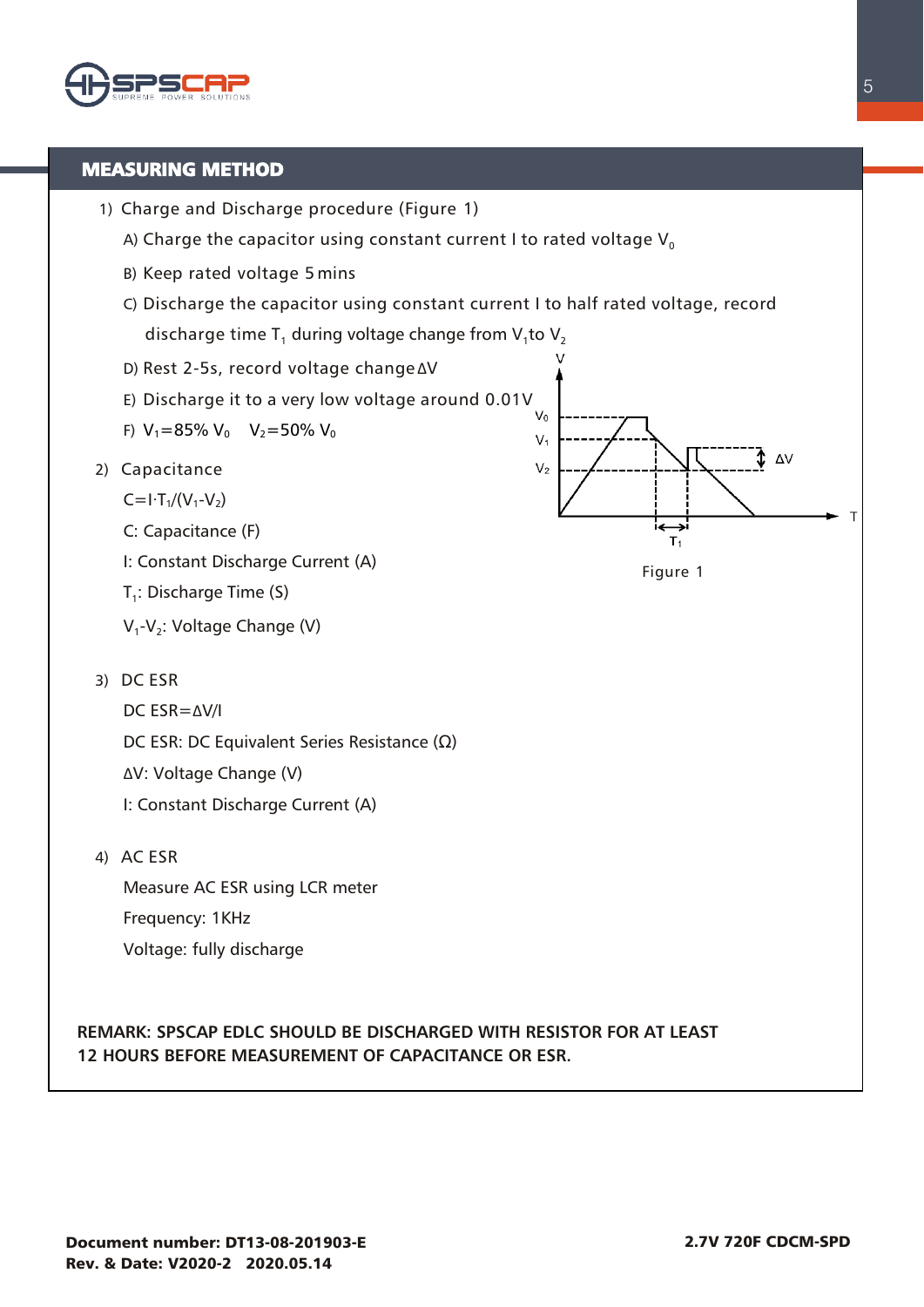

# MEASURING METHOD

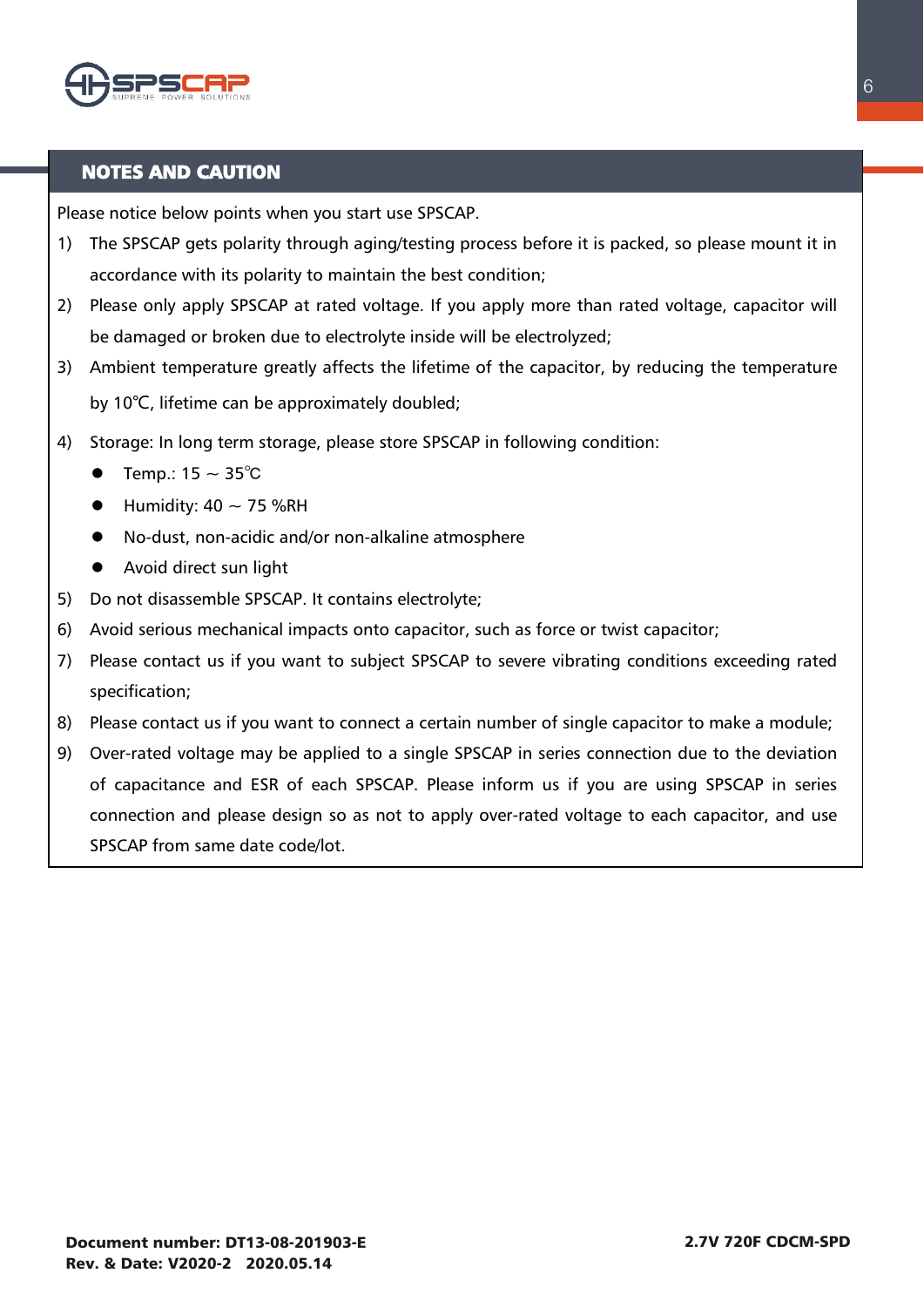

# NOTES AND CAUTION

Please notice below points when you start use SPSCAP.

- 1) The SPSCAP gets polarity through aging/testing process before it is packed, so please mount it in accordance with its polarity to maintain the best condition;
- 2) Please only apply SPSCAP at rated voltage. If you apply more than rated voltage, capacitor will be damaged or broken due to electrolyte inside will be electrolyzed;
- 3) Ambient temperature greatly affects the lifetime of the capacitor, by reducing the temperature by 10℃, lifetime can be approximately doubled;
- 4) Storage: In long term storage, please store SPSCAP in following condition:
	- Temp.: 15 ~ 35℃
	- $\bullet$  Humidity: 40 ~ 75 %RH
	- No-dust, non-acidic and/or non-alkaline atmosphere
	- Avoid direct sun light
- 5) Do not disassemble SPSCAP. It contains electrolyte;
- 6) Avoid serious mechanical impacts onto capacitor, such as force or twist capacitor;
- 7) Please contact us if you want to subject SPSCAP to severe vibrating conditions exceeding rated specification;
- 8) Please contact us if you want to connect a certain number of single capacitor to make a module;
- 9) Over-rated voltage may be applied to a single SPSCAP in series connection due to the deviation of capacitance and ESR of each SPSCAP. Please inform us if you are using SPSCAP in series connection and please design so as not to apply over-rated voltage to each capacitor, and use SPSCAP from same date code/lot.